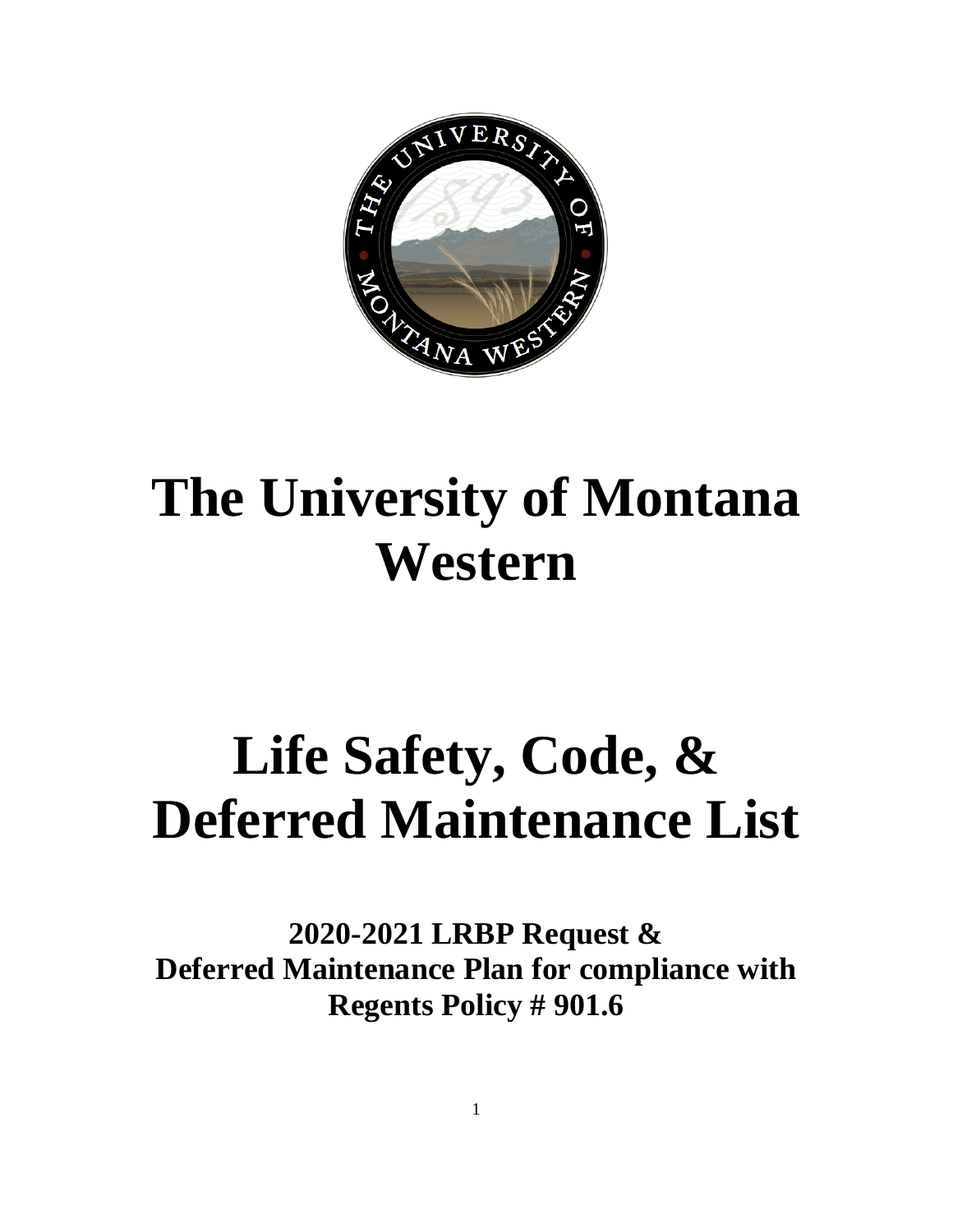

# **The University of Montana Western**

# **Life Safety, Code, & Deferred Maintenance List**

**2020-2021 LRBP Request & Deferred Maintenance Plan for compliance with Regents Policy # 901.6**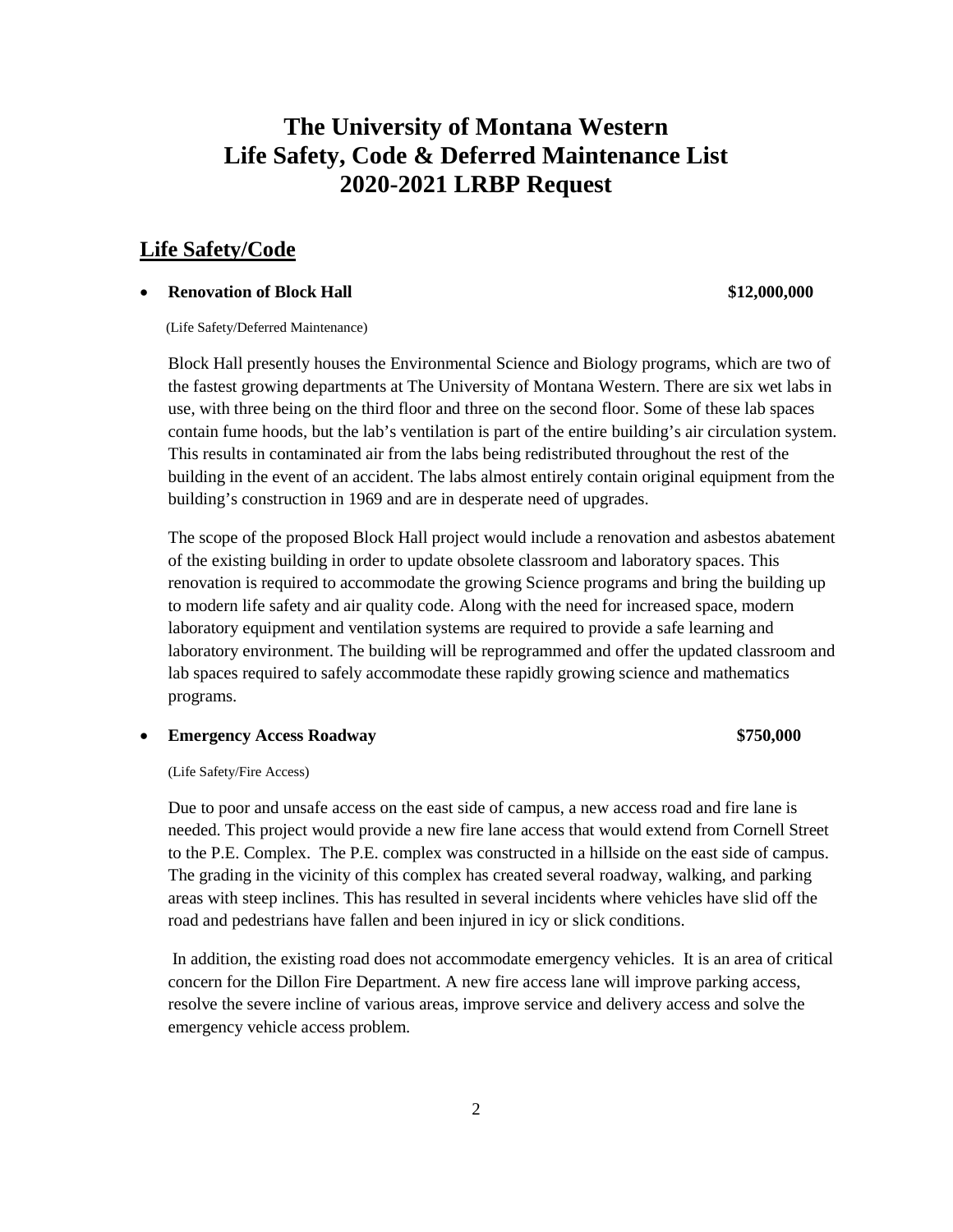# **The University of Montana Western Life Safety, Code & Deferred Maintenance List 2020-2021 LRBP Request**

# **Life Safety/Code**

# • **Renovation of Block Hall \$12,000,000**

(Life Safety/Deferred Maintenance)

Block Hall presently houses the Environmental Science and Biology programs, which are two of the fastest growing departments at The University of Montana Western. There are six wet labs in use, with three being on the third floor and three on the second floor. Some of these lab spaces contain fume hoods, but the lab's ventilation is part of the entire building's air circulation system. This results in contaminated air from the labs being redistributed throughout the rest of the building in the event of an accident. The labs almost entirely contain original equipment from the building's construction in 1969 and are in desperate need of upgrades.

The scope of the proposed Block Hall project would include a renovation and asbestos abatement of the existing building in order to update obsolete classroom and laboratory spaces. This renovation is required to accommodate the growing Science programs and bring the building up to modern life safety and air quality code. Along with the need for increased space, modern laboratory equipment and ventilation systems are required to provide a safe learning and laboratory environment. The building will be reprogrammed and offer the updated classroom and lab spaces required to safely accommodate these rapidly growing science and mathematics programs.

• **Emergency Access Roadway \$750,000**

(Life Safety/Fire Access)

Due to poor and unsafe access on the east side of campus, a new access road and fire lane is needed. This project would provide a new fire lane access that would extend from Cornell Street to the P.E. Complex. The P.E. complex was constructed in a hillside on the east side of campus. The grading in the vicinity of this complex has created several roadway, walking, and parking areas with steep inclines. This has resulted in several incidents where vehicles have slid off the road and pedestrians have fallen and been injured in icy or slick conditions.

In addition, the existing road does not accommodate emergency vehicles. It is an area of critical concern for the Dillon Fire Department. A new fire access lane will improve parking access, resolve the severe incline of various areas, improve service and delivery access and solve the emergency vehicle access problem.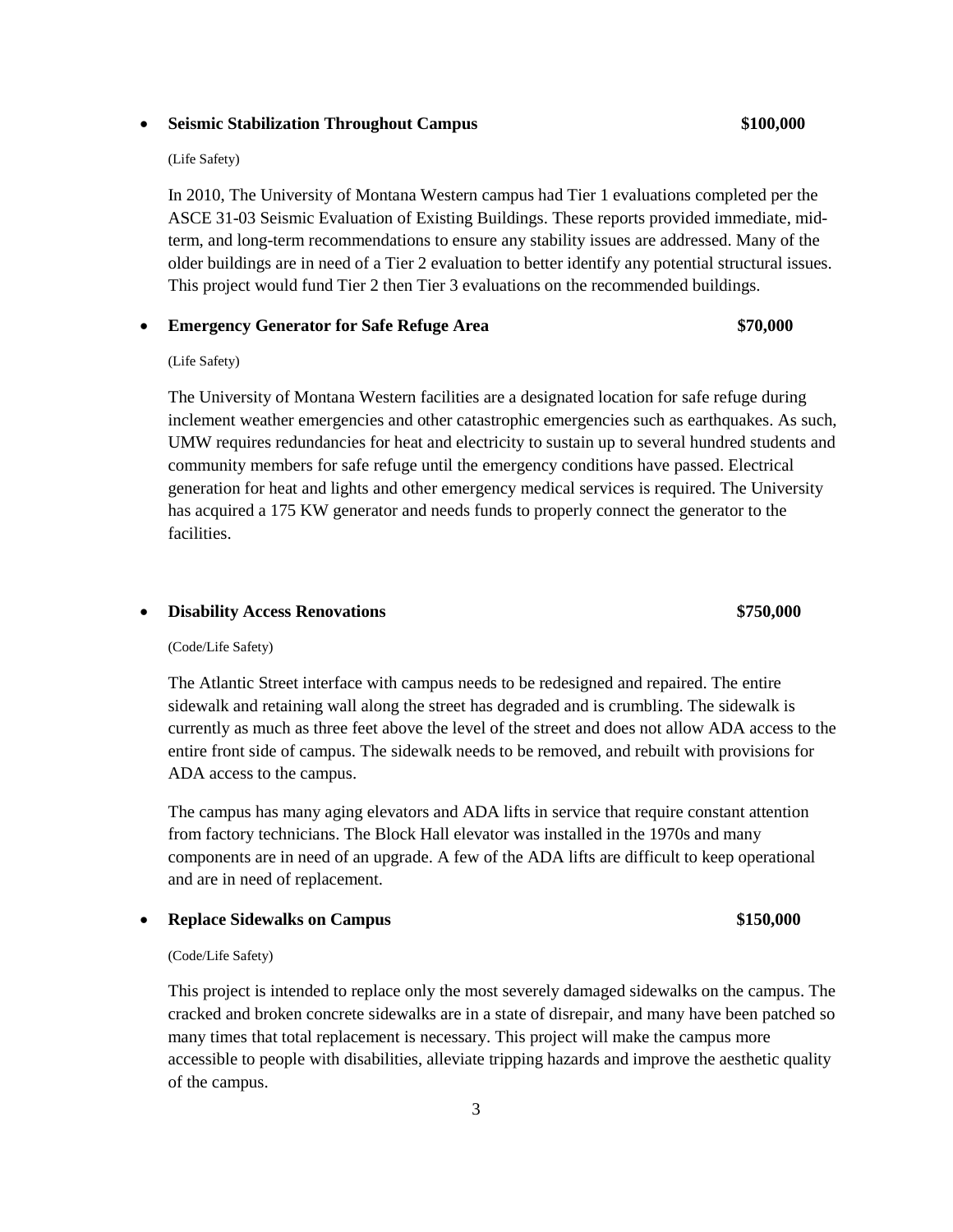# • **Seismic Stabilization Throughout Campus \$100,000**

## (Life Safety)

In 2010, The University of Montana Western campus had Tier 1 evaluations completed per the ASCE 31-03 Seismic Evaluation of Existing Buildings. These reports provided immediate, midterm, and long-term recommendations to ensure any stability issues are addressed. Many of the older buildings are in need of a Tier 2 evaluation to better identify any potential structural issues. This project would fund Tier 2 then Tier 3 evaluations on the recommended buildings.

# • **Emergency Generator for Safe Refuge Area \$70,000**

# (Life Safety)

The University of Montana Western facilities are a designated location for safe refuge during inclement weather emergencies and other catastrophic emergencies such as earthquakes. As such, UMW requires redundancies for heat and electricity to sustain up to several hundred students and community members for safe refuge until the emergency conditions have passed. Electrical generation for heat and lights and other emergency medical services is required. The University has acquired a 175 KW generator and needs funds to properly connect the generator to the facilities.

# • **Disability Access Renovations \$750,000**

### (Code/Life Safety)

The Atlantic Street interface with campus needs to be redesigned and repaired. The entire sidewalk and retaining wall along the street has degraded and is crumbling. The sidewalk is currently as much as three feet above the level of the street and does not allow ADA access to the entire front side of campus. The sidewalk needs to be removed, and rebuilt with provisions for ADA access to the campus.

The campus has many aging elevators and ADA lifts in service that require constant attention from factory technicians. The Block Hall elevator was installed in the 1970s and many components are in need of an upgrade. A few of the ADA lifts are difficult to keep operational and are in need of replacement.

# • **Replace Sidewalks on Campus \$150,000**

### (Code/Life Safety)

This project is intended to replace only the most severely damaged sidewalks on the campus. The cracked and broken concrete sidewalks are in a state of disrepair, and many have been patched so many times that total replacement is necessary. This project will make the campus more accessible to people with disabilities, alleviate tripping hazards and improve the aesthetic quality of the campus.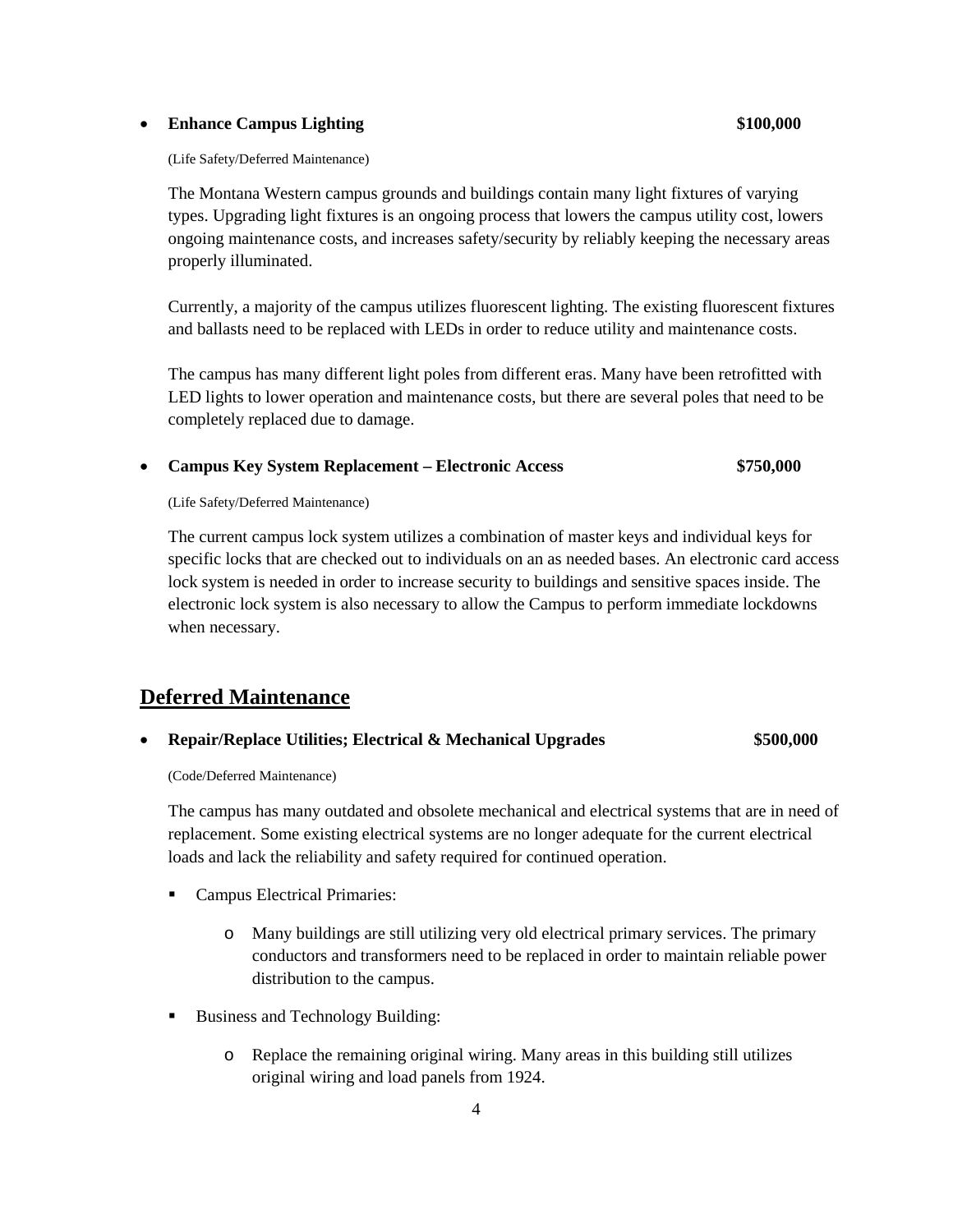# • **Enhance Campus Lighting \$100,000**

### (Life Safety/Deferred Maintenance)

The Montana Western campus grounds and buildings contain many light fixtures of varying types. Upgrading light fixtures is an ongoing process that lowers the campus utility cost, lowers ongoing maintenance costs, and increases safety/security by reliably keeping the necessary areas properly illuminated.

Currently, a majority of the campus utilizes fluorescent lighting. The existing fluorescent fixtures and ballasts need to be replaced with LEDs in order to reduce utility and maintenance costs.

The campus has many different light poles from different eras. Many have been retrofitted with LED lights to lower operation and maintenance costs, but there are several poles that need to be completely replaced due to damage.

# • **Campus Key System Replacement – Electronic Access \$750,000**

(Life Safety/Deferred Maintenance)

The current campus lock system utilizes a combination of master keys and individual keys for specific locks that are checked out to individuals on an as needed bases. An electronic card access lock system is needed in order to increase security to buildings and sensitive spaces inside. The electronic lock system is also necessary to allow the Campus to perform immediate lockdowns when necessary.

# **Deferred Maintenance**

# • **Repair/Replace Utilities; Electrical & Mechanical Upgrades \$500,000**

(Code/Deferred Maintenance)

The campus has many outdated and obsolete mechanical and electrical systems that are in need of replacement. Some existing electrical systems are no longer adequate for the current electrical loads and lack the reliability and safety required for continued operation.

- Campus Electrical Primaries:
	- o Many buildings are still utilizing very old electrical primary services. The primary conductors and transformers need to be replaced in order to maintain reliable power distribution to the campus.
- Business and Technology Building:
	- o Replace the remaining original wiring. Many areas in this building still utilizes original wiring and load panels from 1924.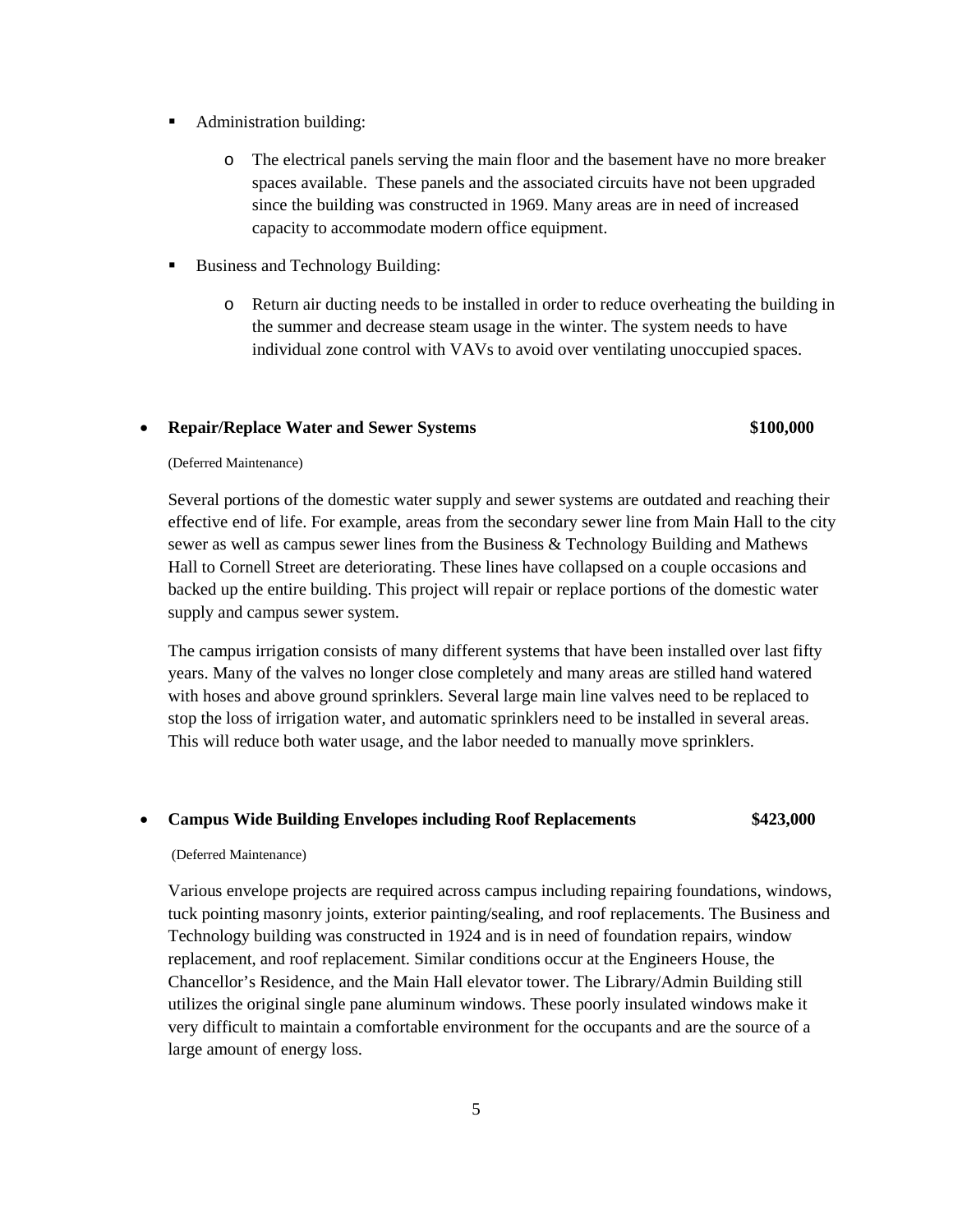- Administration building:
	- o The electrical panels serving the main floor and the basement have no more breaker spaces available. These panels and the associated circuits have not been upgraded since the building was constructed in 1969. Many areas are in need of increased capacity to accommodate modern office equipment.
- Business and Technology Building:
	- o Return air ducting needs to be installed in order to reduce overheating the building in the summer and decrease steam usage in the winter. The system needs to have individual zone control with VAVs to avoid over ventilating unoccupied spaces.

# • **Repair/Replace Water and Sewer Systems \$100,000**

## (Deferred Maintenance)

Several portions of the domestic water supply and sewer systems are outdated and reaching their effective end of life. For example, areas from the secondary sewer line from Main Hall to the city sewer as well as campus sewer lines from the Business & Technology Building and Mathews Hall to Cornell Street are deteriorating. These lines have collapsed on a couple occasions and backed up the entire building. This project will repair or replace portions of the domestic water supply and campus sewer system.

The campus irrigation consists of many different systems that have been installed over last fifty years. Many of the valves no longer close completely and many areas are stilled hand watered with hoses and above ground sprinklers. Several large main line valves need to be replaced to stop the loss of irrigation water, and automatic sprinklers need to be installed in several areas. This will reduce both water usage, and the labor needed to manually move sprinklers.

# • **Campus Wide Building Envelopes including Roof Replacements \$423,000**

# (Deferred Maintenance)

Various envelope projects are required across campus including repairing foundations, windows, tuck pointing masonry joints, exterior painting/sealing, and roof replacements. The Business and Technology building was constructed in 1924 and is in need of foundation repairs, window replacement, and roof replacement. Similar conditions occur at the Engineers House, the Chancellor's Residence, and the Main Hall elevator tower. The Library/Admin Building still utilizes the original single pane aluminum windows. These poorly insulated windows make it very difficult to maintain a comfortable environment for the occupants and are the source of a large amount of energy loss.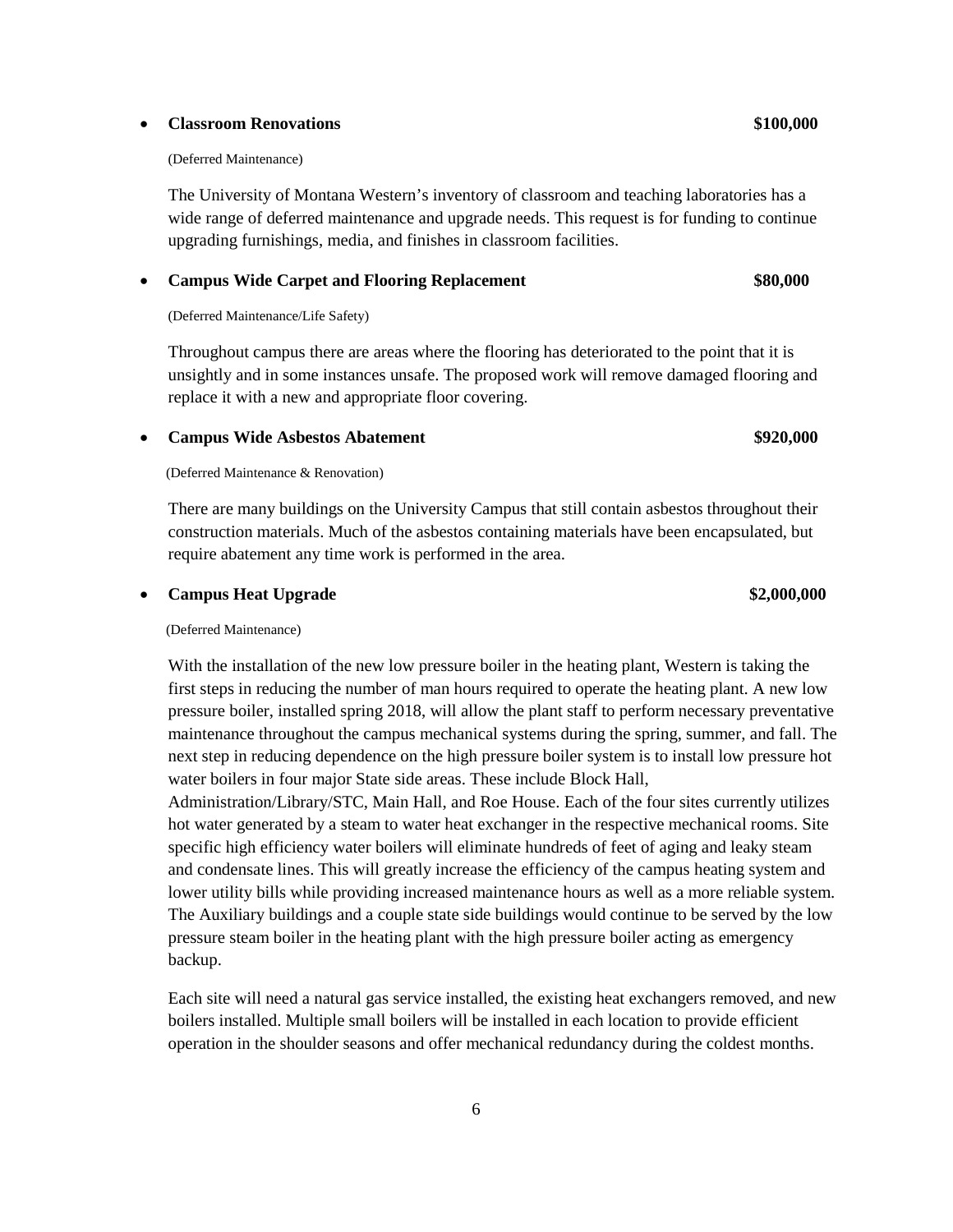### • **Classroom Renovations \$100,000**

### (Deferred Maintenance)

The University of Montana Western's inventory of classroom and teaching laboratories has a wide range of deferred maintenance and upgrade needs. This request is for funding to continue upgrading furnishings, media, and finishes in classroom facilities.

# • **Campus Wide Carpet and Flooring Replacement \$80,000**

# (Deferred Maintenance/Life Safety)

Throughout campus there are areas where the flooring has deteriorated to the point that it is unsightly and in some instances unsafe. The proposed work will remove damaged flooring and replace it with a new and appropriate floor covering.

# • **Campus Wide Asbestos Abatement \$920,000**

# (Deferred Maintenance & Renovation)

There are many buildings on the University Campus that still contain asbestos throughout their construction materials. Much of the asbestos containing materials have been encapsulated, but require abatement any time work is performed in the area.

# • **Campus Heat Upgrade \$2,000,000**

## (Deferred Maintenance)

With the installation of the new low pressure boiler in the heating plant, Western is taking the first steps in reducing the number of man hours required to operate the heating plant. A new low pressure boiler, installed spring 2018, will allow the plant staff to perform necessary preventative maintenance throughout the campus mechanical systems during the spring, summer, and fall. The next step in reducing dependence on the high pressure boiler system is to install low pressure hot water boilers in four major State side areas. These include Block Hall,

Administration/Library/STC, Main Hall, and Roe House. Each of the four sites currently utilizes hot water generated by a steam to water heat exchanger in the respective mechanical rooms. Site specific high efficiency water boilers will eliminate hundreds of feet of aging and leaky steam and condensate lines. This will greatly increase the efficiency of the campus heating system and lower utility bills while providing increased maintenance hours as well as a more reliable system. The Auxiliary buildings and a couple state side buildings would continue to be served by the low pressure steam boiler in the heating plant with the high pressure boiler acting as emergency backup.

Each site will need a natural gas service installed, the existing heat exchangers removed, and new boilers installed. Multiple small boilers will be installed in each location to provide efficient operation in the shoulder seasons and offer mechanical redundancy during the coldest months.